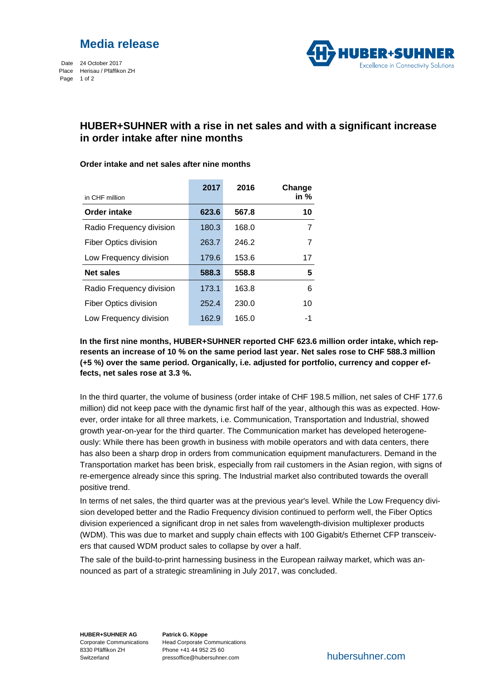

Date 24 October 2017 Place Herisau / Pfäffikon ZH Page 1 of 2



## **HUBER+SUHNER with a rise in net sales and with a significant increase in order intake after nine months**

|                              | 2017  | 2016  | Change |
|------------------------------|-------|-------|--------|
| in CHF million               |       |       | in %   |
| Order intake                 | 623.6 | 567.8 | 10     |
| Radio Frequency division     | 180.3 | 168.0 |        |
| <b>Fiber Optics division</b> | 263.7 | 246.2 | 7      |
| Low Frequency division       | 179.6 | 153.6 | 17     |
| <b>Net sales</b>             | 588.3 | 558.8 | 5      |
| Radio Frequency division     | 173.1 | 163.8 | 6      |
| <b>Fiber Optics division</b> | 252.4 | 230.0 | 10     |
| Low Frequency division       | 162.9 | 165.0 | -1     |

### **Order intake and net sales after nine months**

**In the first nine months, HUBER+SUHNER reported CHF 623.6 million order intake, which represents an increase of 10 % on the same period last year. Net sales rose to CHF 588.3 million (+5 %) over the same period. Organically, i.e. adjusted for portfolio, currency and copper effects, net sales rose at 3.3 %.**

In the third quarter, the volume of business (order intake of CHF 198.5 million, net sales of CHF 177.6 million) did not keep pace with the dynamic first half of the year, although this was as expected. However, order intake for all three markets, i.e. Communication, Transportation and Industrial, showed growth year-on-year for the third quarter. The Communication market has developed heterogeneously: While there has been growth in business with mobile operators and with data centers, there has also been a sharp drop in orders from communication equipment manufacturers. Demand in the Transportation market has been brisk, especially from rail customers in the Asian region, with signs of re-emergence already since this spring. The Industrial market also contributed towards the overall positive trend.

In terms of net sales, the third quarter was at the previous year's level. While the Low Frequency division developed better and the Radio Frequency division continued to perform well, the Fiber Optics division experienced a significant drop in net sales from wavelength-division multiplexer products (WDM). This was due to market and supply chain effects with 100 Gigabit/s Ethernet CFP transceivers that caused WDM product sales to collapse by over a half.

The sale of the build-to-print harnessing business in the European railway market, which was announced as part of a strategic streamlining in July 2017, was concluded.

**HUBER+SUHNER AG** 8330 Pfäffikon ZH Switzerland

Corporate Communications Head Corporate Communications **Patrick G. Köppe** Phone +41 44 952 25 60 pressoffice@hubersuhner.com